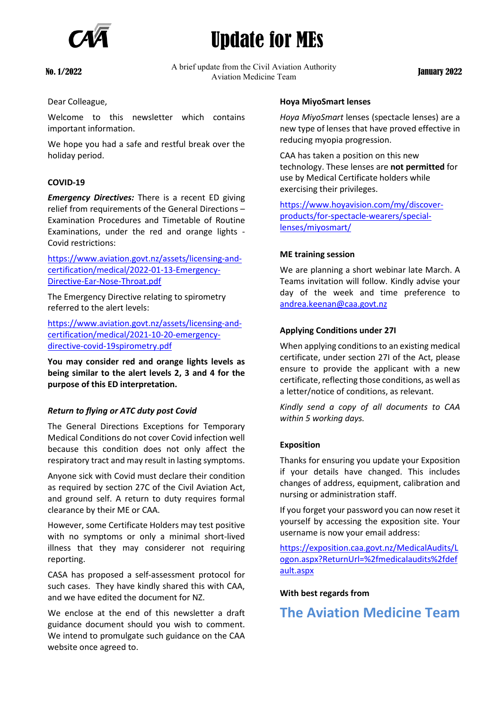

# Update for MEs

No. 1/2022 A brief update from the Civil Aviation Authority ate from the Civil Aviation Authority<br>Aviation Medicine Team

Dear Colleague,

Welcome to this newsletter which contains important information.

We hope you had a safe and restful break over the holiday period.

### **COVID-19**

*Emergency Directives:* There is a recent ED giving relief from requirements of the General Directions – Examination Procedures and Timetable of Routine Examinations, under the red and orange lights - Covid restrictions:

[https://www.aviation.govt.nz/assets/licensing-and](https://www.aviation.govt.nz/assets/licensing-and-certification/medical/2022-01-13-Emergency-Directive-Ear-Nose-Throat.pdf)[certification/medical/2022-01-13-Emergency-](https://www.aviation.govt.nz/assets/licensing-and-certification/medical/2022-01-13-Emergency-Directive-Ear-Nose-Throat.pdf)[Directive-Ear-Nose-Throat.pdf](https://www.aviation.govt.nz/assets/licensing-and-certification/medical/2022-01-13-Emergency-Directive-Ear-Nose-Throat.pdf)

The Emergency Directive relating to spirometry referred to the alert levels:

[https://www.aviation.govt.nz/assets/licensing-and](https://www.aviation.govt.nz/assets/licensing-and-certification/medical/2021-10-20-emergency-directive-covid-19spirometry.pdf)[certification/medical/2021-10-20-emergency](https://www.aviation.govt.nz/assets/licensing-and-certification/medical/2021-10-20-emergency-directive-covid-19spirometry.pdf)[directive-covid-19spirometry.pdf](https://www.aviation.govt.nz/assets/licensing-and-certification/medical/2021-10-20-emergency-directive-covid-19spirometry.pdf)

**You may consider red and orange lights levels as being similar to the alert levels 2, 3 and 4 for the purpose of this ED interpretation.** 

#### *Return to flying or ATC duty post Covid*

The General Directions Exceptions for Temporary Medical Conditions do not cover Covid infection well because this condition does not only affect the respiratory tract and may result in lasting symptoms.

Anyone sick with Covid must declare their condition as required by section 27C of the Civil Aviation Act, and ground self. A return to duty requires formal clearance by their ME or CAA.

However, some Certificate Holders may test positive with no symptoms or only a minimal short-lived illness that they may considerer not requiring reporting.

CASA has proposed a self-assessment protocol for such cases. They have kindly shared this with CAA, and we have edited the document for NZ.

We enclose at the end of this newsletter a draft guidance document should you wish to comment. We intend to promulgate such guidance on the CAA website once agreed to.

#### **Hoya MiyoSmart lenses**

*Hoya MiyoSmart* lenses (spectacle lenses) are a new type of lenses that have proved effective in reducing myopia progression.

CAA has taken a position on this new technology. These lenses are **not permitted** for use by Medical Certificate holders while exercising their privileges.

[https://www.hoyavision.com/my/discover](https://www.hoyavision.com/my/discover-products/for-spectacle-wearers/special-lenses/miyosmart/)[products/for-spectacle-wearers/special](https://www.hoyavision.com/my/discover-products/for-spectacle-wearers/special-lenses/miyosmart/)[lenses/miyosmart/](https://www.hoyavision.com/my/discover-products/for-spectacle-wearers/special-lenses/miyosmart/)

#### **ME training session**

We are planning a short webinar late March. A Teams invitation will follow. Kindly advise your day of the week and time preference to [andrea.keenan@caa.govt.nz](mailto:andrea.keenan@caa.govt.nz)

#### **Applying Conditions under 27I**

When applying conditions to an existing medical certificate, under section 27I of the Act, please ensure to provide the applicant with a new certificate, reflecting those conditions, as well as a letter/notice of conditions, as relevant.

*Kindly send a copy of all documents to CAA within 5 working days.* 

#### **Exposition**

Thanks for ensuring you update your Exposition if your details have changed. This includes changes of address, equipment, calibration and nursing or administration staff.

If you forget your password you can now reset it yourself by accessing the exposition site. Your username is now your email address:

[https://exposition.caa.govt.nz/MedicalAudits/L](https://exposition.caa.govt.nz/MedicalAudits/Logon.aspx?ReturnUrl=%2fmedicalaudits%2fdefault.aspx) [ogon.aspx?ReturnUrl=%2fmedicalaudits%2fdef](https://exposition.caa.govt.nz/MedicalAudits/Logon.aspx?ReturnUrl=%2fmedicalaudits%2fdefault.aspx) [ault.aspx](https://exposition.caa.govt.nz/MedicalAudits/Logon.aspx?ReturnUrl=%2fmedicalaudits%2fdefault.aspx)

#### **With best regards from**

**The Aviation Medicine Team**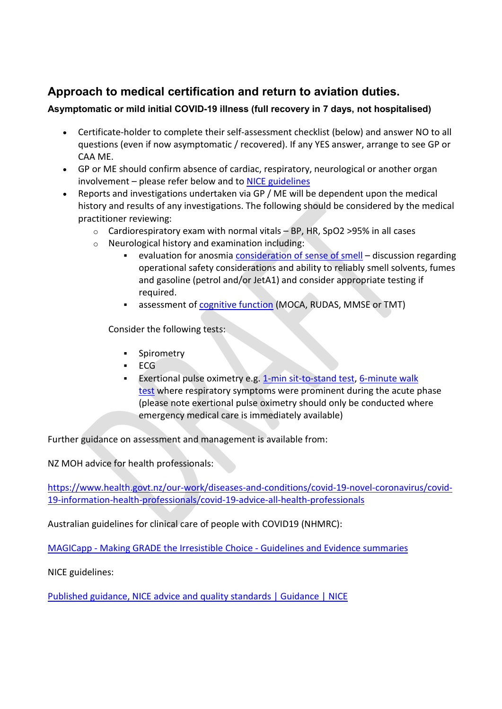# **Approach to medical certification and return to aviation duties.**

## **Asymptomatic or mild initial COVID-19 illness (full recovery in 7 days, not hospitalised)**

- Certificate-holder to complete their self-assessment checklist (below) and answer NO to all questions (even if now asymptomatic / recovered). If any YES answer, arrange to see GP or CAA ME.
- GP or ME should confirm absence of cardiac, respiratory, neurological or another organ involvement – please refer below and to [NICE guidelines](https://aus01.safelinks.protection.outlook.com/?url=https%3A%2F%2Fwww.nice.org.uk%2Fguidance%2Fpublished%3Fngt%3DCOVID-19%2520rapid%2520guidelines%26ndt%3DGuidance&data=04%7C01%7CTony.Hochberg%40casa.gov.au%7C40083574924d45194daa08d9d0adad1f%7C70a593b6906447f5992539d2dc35261c%7C0%7C0%7C637770266613940214%7CUnknown%7CTWFpbGZsb3d8eyJWIjoiMC4wLjAwMDAiLCJQIjoiV2luMzIiLCJBTiI6Ik1haWwiLCJXVCI6Mn0%3D%7C3000&sdata=q2oS3Tqf9zRb%2FbHmQN%2FrTauwiN75BrFULm1E8pReNJY%3D&reserved=0)
- Reports and investigations undertaken via GP / ME will be dependent upon the medical history and results of any investigations. The following should be considered by the medical practitioner reviewing:
	- $\circ$  Cardiorespiratory exam with normal vitals BP, HR, SpO2 > 95% in all cases
	- o Neurological history and examination including:
		- evaluation for anosmia [consideration of sense of smell](https://aus01.safelinks.protection.outlook.com/?url=https%3A%2F%2Fwww.ncbi.nlm.nih.gov%2Fbooks%2FNBK382%2F&data=04%7C01%7CTony.Hochberg%40casa.gov.au%7C40083574924d45194daa08d9d0adad1f%7C70a593b6906447f5992539d2dc35261c%7C0%7C0%7C637770266613940214%7CUnknown%7CTWFpbGZsb3d8eyJWIjoiMC4wLjAwMDAiLCJQIjoiV2luMzIiLCJBTiI6Ik1haWwiLCJXVCI6Mn0%3D%7C3000&sdata=FhG3YdDxsplfAeUyTlqhC0UQSYKdfEFWkU92q%2Fgi6DA%3D&reserved=0) discussion regarding operational safety considerations and ability to reliably smell solvents, fumes and gasoline (petrol and/or JetA1) and consider appropriate testing if required.
		- assessment of [cognitive function](https://aus01.safelinks.protection.outlook.com/?url=https%3A%2F%2Fwww.sciencedirect.com%2Ftopics%2Fneuroscience%2Fmontreal-cognitive-assessment&data=04%7C01%7CTony.Hochberg%40casa.gov.au%7C40083574924d45194daa08d9d0adad1f%7C70a593b6906447f5992539d2dc35261c%7C0%7C0%7C637770266613940214%7CUnknown%7CTWFpbGZsb3d8eyJWIjoiMC4wLjAwMDAiLCJQIjoiV2luMzIiLCJBTiI6Ik1haWwiLCJXVCI6Mn0%3D%7C3000&sdata=8wFPbSQUXxjVGtvHV3opz6Mzzy0BiCdnviBT2Achf9U%3D&reserved=0) (MOCA, RUDAS, MMSE or TMT)

Consider the following tests:

- **•** Spirometry
- $ECG$
- **Exertional pulse oximetry e.g. [1-min sit-to-stand test,](https://aus01.safelinks.protection.outlook.com/?url=https%3A%2F%2Fwww.rbht.nhs.uk%2Fsites%2Fnhs%2Ffiles%2FLeaflets%2FOne%2520minute%2520sit%2520to%2520stand%2520test%2520instructions%2520-%2520April%25202021.pdf&data=04%7C01%7CTony.Hochberg%40casa.gov.au%7C40083574924d45194daa08d9d0adad1f%7C70a593b6906447f5992539d2dc35261c%7C0%7C0%7C637770266613940214%7CUnknown%7CTWFpbGZsb3d8eyJWIjoiMC4wLjAwMDAiLCJQIjoiV2luMzIiLCJBTiI6Ik1haWwiLCJXVCI6Mn0%3D%7C3000&sdata=x866Gu68L%2FNj54c60iINYjv%2FpG6g6DSY7AGOAYg8fZI%3D&reserved=0) 6-minute walk** [test](https://aus01.safelinks.protection.outlook.com/?url=https%3A%2F%2Fwww.faa.gov%2Fabout%2Foffice_org%2Fheadquarters_offices%2Favs%2Foffices%2Faam%2Fame%2Fguide%2Fmedia%2FFAAResultSheet_6MWT.pdf&data=04%7C01%7CTony.Hochberg%40casa.gov.au%7C40083574924d45194daa08d9d0adad1f%7C70a593b6906447f5992539d2dc35261c%7C0%7C0%7C637770266613940214%7CUnknown%7CTWFpbGZsb3d8eyJWIjoiMC4wLjAwMDAiLCJQIjoiV2luMzIiLCJBTiI6Ik1haWwiLCJXVCI6Mn0%3D%7C3000&sdata=3GkJ3XNzOdLAFmKEQcyiOR88QEOpvHJRk19xcZVADUo%3D&reserved=0) where respiratory symptoms were prominent during the acute phase (please note exertional pulse oximetry should only be conducted where emergency medical care is immediately available)

Further guidance on assessment and management is available from:

NZ MOH advice for health professionals:

[https://www.health.govt.nz/our-work/diseases-and-conditions/covid-19-novel-coronavirus/covid-](https://www.health.govt.nz/our-work/diseases-and-conditions/covid-19-novel-coronavirus/covid-19-information-health-professionals/covid-19-advice-all-health-professionals)[19-information-health-professionals/covid-19-advice-all-health-professionals](https://www.health.govt.nz/our-work/diseases-and-conditions/covid-19-novel-coronavirus/covid-19-information-health-professionals/covid-19-advice-all-health-professionals)

Australian guidelines for clinical care of people with COVID19 (NHMRC):

MAGICapp - [Making GRADE the Irresistible Choice -](https://app.magicapp.org/#/guideline/L4Q5An) Guidelines and Evidence summaries

NICE guidelines:

[Published guidance, NICE advice and quality standards | Guidance | NICE](https://www.nice.org.uk/guidance/published?ngt=COVID-19%20rapid%20guidelines&ndt=Guidance)